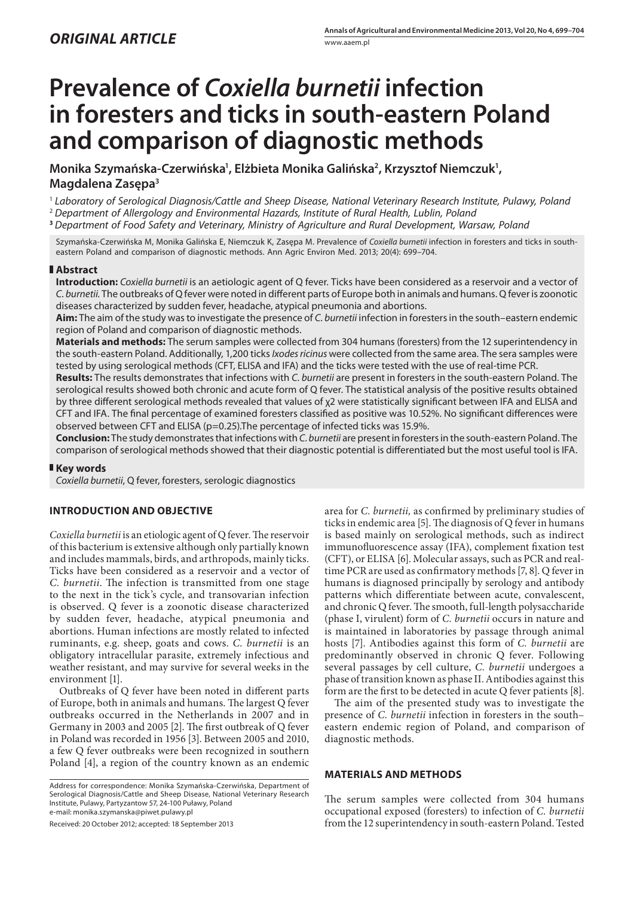# **Prevalence of** *Coxiella burnetii* **infection in foresters and ticks in south-eastern Poland and comparison of diagnostic methods**

Monika Szymańska-Czerwińska<sup>,</sup>, Elżbieta Monika Galińska<sup>2</sup>, Krzysztof Niemczuk<sup>1</sup>, **Magdalena Zasępa3**

<sup>1</sup> *Laboratory of Serological Diagnosis/Cattle and Sheep Disease, National Veterinary Research Institute, Pulawy, Poland*

<sup>2</sup> *Department of Allergology and Environmental Hazards, Institute of Rural Health, Lublin, Poland*

**<sup>3</sup>** *Department of Food Safety and Veterinary, Ministry of Agriculture and Rural Development, Warsaw, Poland*

Szymańska-Czerwińska M, Monika Galińska E, Niemczuk K, Zasępa M. Prevalence of *Coxiella burnetii* infection in foresters and ticks in southeastern Poland and comparison of diagnostic methods. Ann Agric Environ Med. 2013; 20(4): 699–704.

## **Abstract**

**Introduction:** *Coxiella burnetii* is an aetiologic agent of Q fever. Ticks have been considered as a reservoir and a vector of *C. burnetii.* The outbreaks of Q fever were noted in different parts of Europe both in animals and humans. Q fever is zoonotic diseases characterized by sudden fever, headache, atypical pneumonia and abortions.

**Aim:** The aim of the study was to investigate the presence of *C. burnetii* infection in foresters in the south–eastern endemic region of Poland and comparison of diagnostic methods.

**Materials and methods:** The serum samples were collected from 304 humans (foresters) from the 12 superintendency in the south-eastern Poland. Additionally, 1,200 ticks *Ixodes ricinus* were collected from the same area. The sera samples were tested by using serological methods (CFT, ELISA and IFA) and the ticks were tested with the use of real-time PCR.

**Results:** The results demonstrates that infections with *C. burnetii* are present in foresters in the south-eastern Poland. The serological results showed both chronic and acute form of Q fever. The statistical analysis of the positive results obtained by three different serological methods revealed that values of χ2 were statistically significant between IFA and ELISA and CFT and IFA. The final percentage of examined foresters classified as positive was 10.52%. No significant differences were observed between CFT and ELISA (p=0.25).The percentage of infected ticks was 15.9%.

**Conclusion:** The study demonstrates that infections with *C. burnetii* are present in foresters in the south-eastern Poland. The comparison of serological methods showed that their diagnostic potential is differentiated but the most useful tool is IFA.

### **Key words**

*Coxiella burnetii*, Q fever, foresters, serologic diagnostics

## **INTRODUCTION AND OBJECTIVE**

*Coxiella burnetii* is an etiologic agent of Q fever. The reservoir of this bacterium is extensive although only partially known and includes mammals, birds, and arthropods, mainly ticks. Ticks have been considered as a reservoir and a vector of *C. burnetii*. The infection is transmitted from one stage to the next in the tick's cycle, and transovarian infection is observed. Q fever is a zoonotic disease characterized by sudden fever, headache, atypical pneumonia and abortions. Human infections are mostly related to infected ruminants, e.g. sheep, goats and cows. *C. burnetii* is an obligatory intracellular parasite, extremely infectious and weather resistant, and may survive for several weeks in the environment [1].

Outbreaks of Q fever have been noted in different parts of Europe, both in animals and humans. The largest Q fever outbreaks occurred in the Netherlands in 2007 and in Germany in 2003 and 2005 [2]. The first outbreak of Q fever in Poland was recorded in 1956 [3]. Between 2005 and 2010, a few Q fever outbreaks were been recognized in southern Poland [4], a region of the country known as an endemic

Address for correspondence: Monika Szymańska-Czerwińska, Department of Serological Diagnosis/Cattle and Sheep Disease, National Veterinary Research Institute, Pulawy, Partyzantow 57, 24-100 Puławy, Poland e-mail: monika.szymanska@piwet.pulawy.pl

Received: 20 October 2012; accepted: 18 September 2013

area for *C. burnetii,* as confirmed by preliminary studies of ticks in endemic area [5]. The diagnosis of Q fever in humans is based mainly on serological methods, such as indirect immunofluorescence assay (IFA), complement fixation test (CFT), or ELISA [6]. Molecular assays, such as PCR and realtime PCR are used as confirmatory methods [7, 8]. Q fever in humans is diagnosed principally by serology and antibody patterns which differentiate between acute, convalescent, and chronic Q fever. The smooth, full-length polysaccharide (phase I, virulent) form of *C. burnetii* occurs in nature and is maintained in laboratories by passage through animal hosts [7]. Antibodies against this form of *C. burnetii* are predominantly observed in chronic Q fever. Following several passages by cell culture, *C. burnetii* undergoes a phase of transition known as phase II. Antibodies against this form are the first to be detected in acute Q fever patients [8].

The aim of the presented study was to investigate the presence of *C. burnetii* infection in foresters in the south– eastern endemic region of Poland, and comparison of diagnostic methods.

## **MATERIALS AND METHODS**

The serum samples were collected from 304 humans occupational exposed (foresters) to infection of *C. burnetii*  from the 12 superintendency in south-eastern Poland. Tested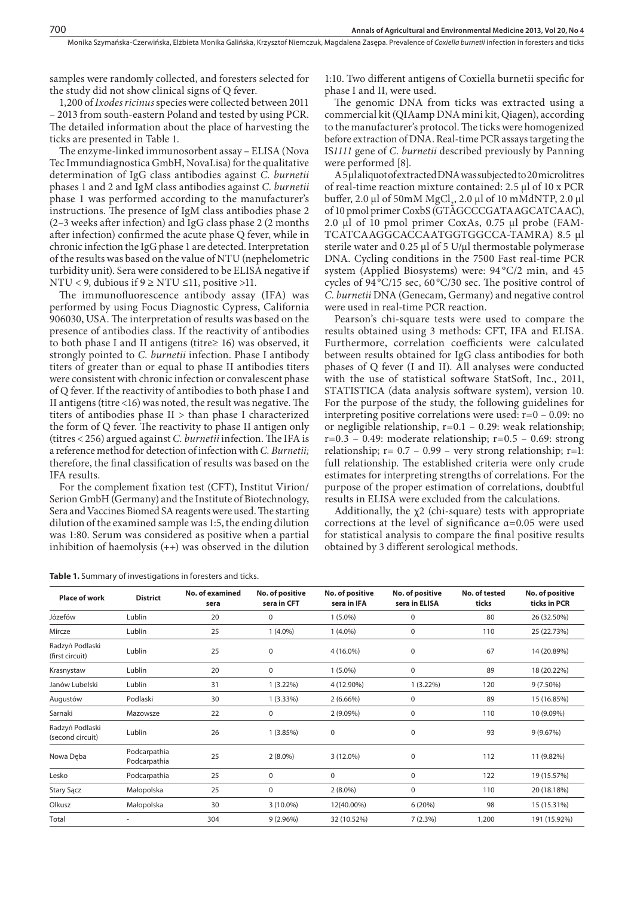samples were randomly collected, and foresters selected for the study did not show clinical signs of Q fever.

700

1,200 of *Ixodes ricinus* species were collected between 2011 – 2013 from south-eastern Poland and tested by using PCR. The detailed information about the place of harvesting the ticks are presented in Table 1.

The enzyme-linked immunosorbent assay – ELISA (Nova Tec Immundiagnostica GmbH, NovaLisa) for the qualitative determination of IgG class antibodies against *C. burnetii* phases 1 and 2 and IgM class antibodies against *C. burnetii* phase 1 was performed according to the manufacturer's instructions. The presence of IgM class antibodies phase 2 (2–3 weeks after infection) and IgG class phase 2 (2 months after infection) confirmed the acute phase Q fever, while in chronic infection the IgG phase 1 are detected. Interpretation of the results was based on the value of NTU (nephelometric turbidity unit). Sera were considered to be ELISA negative if NTU < 9, dubious if  $9 \geq N$ TU  $\leq$ 11, positive >11.

The immunofluorescence antibody assay (IFA) was performed by using Focus Diagnostic Cypress, California 906030, USA. The interpretation of results was based on the presence of antibodies class. If the reactivity of antibodies to both phase I and II antigens (titre≥ 16) was observed, it strongly pointed to *C. burnetii* infection. Phase I antibody titers of greater than or equal to phase II antibodies titers were consistent with chronic infection or convalescent phase of Q fever. If the reactivity of antibodies to both phase I and II antigens (titre <16) was noted, the result was negative. The titers of antibodies phase II > than phase I characterized the form of Q fever. The reactivity to phase II antigen only (titres < 256) argued against *C. burnetii* infection. The IFA is a reference method for detection of infection with *C. Burnetii;*  therefore, the final classification of results was based on the IFA results.

For the complement fixation test (CFT), Institut Virion/ Serion GmbH (Germany) and the Institute of Biotechnology, Sera and Vaccines Biomed SA reagents were used. The starting dilution of the examined sample was 1:5, the ending dilution was 1:80. Serum was considered as positive when a partial inhibition of haemolysis (++) was observed in the dilution

**Table 1.** Summary of investigations in foresters and ticks.

1:10. Two different antigens of Coxiella burnetii specific for phase I and II, were used.

The genomic DNA from ticks was extracted using a commercial kit (QIAamp DNA mini kit, Qiagen), according to the manufacturer's protocol. The ticks were homogenized before extraction of DNA. Real-time PCR assays targeting the IS*1111* gene of *C. burnetii* described previously by Panning were performed [8].

A 5 µl aliquot of extracted DNA was subjected to 20 microlitres of real-time reaction mixture contained: 2.5 μl of 10 x PCR buffer, 2.0 μl of 50mM MgCl<sub>2</sub>, 2.0 μl of 10 mMdNTP, 2.0 μl of 10 pmol primer CoxbS (GTAGCCCGATAAGCATCAAC), 2.0 μl of 10 pmol primer CoxAs, 0.75 μl probe (FAM-TCATCAAGGCACCAATGGTGGCCA-TAMRA) 8.5 μl sterile water and 0.25 μl of 5 U/μl thermostable polymerase DNA. Cycling conditions in the 7500 Fast real-time PCR system (Applied Biosystems) were: 94 °C/2 min, and 45 cycles of 94 °C/15 sec, 60 °C/30 sec. The positive control of *C. burnetii* DNA (Genecam, Germany) and negative control were used in real-time PCR reaction.

Pearson's chi-square tests were used to compare the results obtained using 3 methods: CFT, IFA and ELISA. Furthermore, correlation coefficients were calculated between results obtained for IgG class antibodies for both phases of Q fever (I and II). All analyses were conducted with the use of statistical software StatSoft, Inc., 2011, STATISTICA (data analysis software system), version 10. For the purpose of the study, the following guidelines for interpreting positive correlations were used: r=0 – 0.09: no or negligible relationship, r=0.1 – 0.29: weak relationship;  $r=0.3 - 0.49$ : moderate relationship;  $r=0.5 - 0.69$ : strong relationship;  $r= 0.7 - 0.99$  – very strong relationship;  $r=1$ : full relationship. The established criteria were only crude estimates for interpreting strengths of correlations. For the purpose of the proper estimation of correlations, doubtful results in ELISA were excluded from the calculations.

Additionally, the  $\chi$ 2 (chi-square) tests with appropriate corrections at the level of significance  $\alpha$ =0.05 were used for statistical analysis to compare the final positive results obtained by 3 different serological methods.

| <b>Place of work</b>                | <b>District</b>              | No. of examined<br>sera | No. of positive<br>sera in CFT | No. of positive<br>sera in IFA | No. of positive<br>sera in ELISA | No. of tested<br>ticks | No. of positive<br>ticks in PCR |
|-------------------------------------|------------------------------|-------------------------|--------------------------------|--------------------------------|----------------------------------|------------------------|---------------------------------|
| Józefów                             | Lublin                       | 20                      | 0                              | $1(5.0\%)$                     | $\mathbf 0$                      | 80                     | 26 (32.50%)                     |
| Mircze                              | Lublin                       | 25                      | $1(4.0\%)$                     | $1(4.0\%)$                     | $\mathbf 0$                      | 110                    | 25 (22.73%)                     |
| Radzyń Podlaski<br>(first circuit)  | Lublin                       | 25                      | 0                              | 4 (16.0%)                      | $\mathbf 0$                      | 67                     | 14 (20.89%)                     |
| Krasnystaw                          | Lublin                       | 20                      | $\mathbf 0$                    | $1(5.0\%)$                     | 0                                | 89                     | 18 (20.22%)                     |
| Janów Lubelski                      | Lublin                       | 31                      | $1(3.22\%)$                    | 4 (12.90%)                     | $1(3.22\%)$                      | 120                    | $9(7.50\%)$                     |
| Augustów                            | Podlaski                     | 30                      | $1(3.33\%)$                    | $2(6.66\%)$                    | 0                                | 89                     | 15 (16.85%)                     |
| Sarnaki                             | Mazowsze                     | 22                      | 0                              | $2(9.09\%)$                    | 0                                | 110                    | 10 (9.09%)                      |
| Radzyń Podlaski<br>(second circuit) | Lublin                       | 26                      | 1(3.85%)                       | 0                              | 0                                | 93                     | 9(9.67%)                        |
| Nowa Dęba                           | Podcarpathia<br>Podcarpathia | 25                      | $2(8.0\%)$                     | $3(12.0\%)$                    | 0                                | 112                    | 11 (9.82%)                      |
| Lesko                               | Podcarpathia                 | 25                      | 0                              | 0                              | 0                                | 122                    | 19 (15.57%)                     |
| <b>Stary Sącz</b>                   | Małopolska                   | 25                      | $\boldsymbol{0}$               | $2(8.0\%)$                     | 0                                | 110                    | 20 (18.18%)                     |
| Olkusz                              | Małopolska                   | 30                      | $3(10.0\%)$                    | 12(40.00%)                     | 6(20%)                           | 98                     | 15 (15.31%)                     |
| Total                               | ۰                            | 304                     | $9(2.96\%)$                    | 32 (10.52%)                    | 7(2.3%)                          | 1,200                  | 191 (15.92%)                    |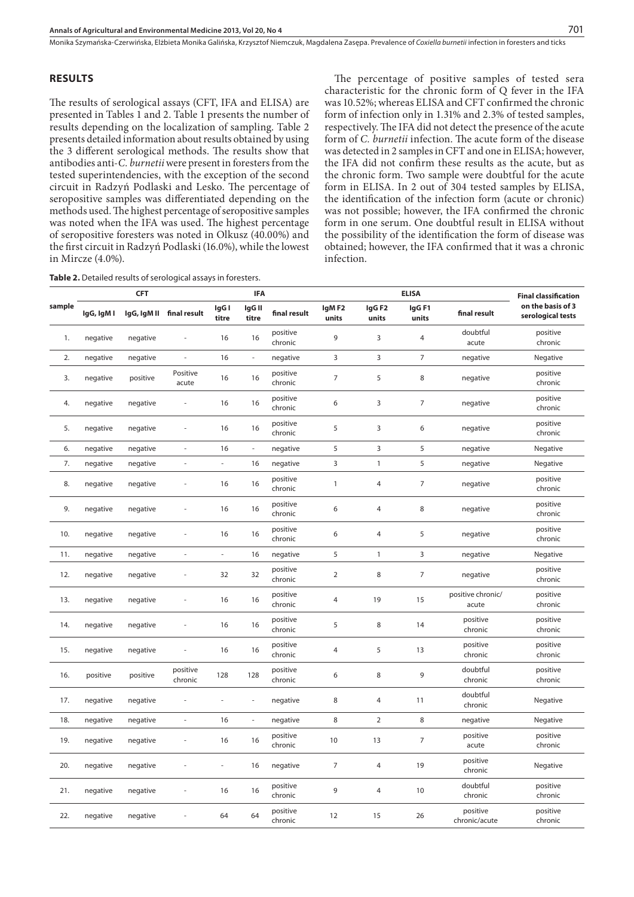Monika Szymańska-Czerwińska, Elżbieta Monika Galińska, Krzysztof Niemczuk, Magdalena Zasępa . Prevalence of *Coxiella burnetii* infection in foresters and ticks

## **RESULTS**

The results of serological assays (CFT, IFA and ELISA) are presented in Tables 1 and 2. Table 1 presents the number of results depending on the localization of sampling. Table 2 presents detailed information about results obtained by using the 3 different serological methods. The results show that antibodies anti-*C. burnetii* were present in foresters from the tested superintendencies, with the exception of the second circuit in Radzyń Podlaski and Lesko. The percentage of seropositive samples was differentiated depending on the methods used. The highest percentage of seropositive samples was noted when the IFA was used. The highest percentage of seropositive foresters was noted in Olkusz (40.00%) and the first circuit in Radzyń Podlaski (16.0%), while the lowest in Mircze (4.0%).

The percentage of positive samples of tested sera characteristic for the chronic form of Q fever in the IFA was 10.52%; whereas ELISA and CFT confirmed the chronic form of infection only in 1.31% and 2.3% of tested samples, respectively. The IFA did not detect the presence of the acute form of *C. burnetii* infection. The acute form of the disease was detected in 2 samples in CFT and one in ELISA; however, the IFA did not confirm these results as the acute, but as the chronic form. Two sample were doubtful for the acute form in ELISA. In 2 out of 304 tested samples by ELISA, the identification of the infection form (acute or chronic) was not possible; however, the IFA confirmed the chronic form in one serum. One doubtful result in ELISA without the possibility of the identification the form of disease was obtained; however, the IFA confirmed that it was a chronic infection.

**Table 2.** Detailed results of serological assays in foresters.

|        |            | <b>CFT</b>  |                          |                          | IFA                      |                     |                |                            | <b>Final classification</b> |                            |                                        |
|--------|------------|-------------|--------------------------|--------------------------|--------------------------|---------------------|----------------|----------------------------|-----------------------------|----------------------------|----------------------------------------|
| sample | IgG, IgM I | lgG, IgM II | final result             | IgG I<br>titre           | IgG II<br>titre          | final result        | IgMF2<br>units | IgG <sub>F2</sub><br>units | IgGF1<br>units              | final result               | on the basis of 3<br>serological tests |
| 1.     | negative   | negative    |                          | 16                       | 16                       | positive<br>chronic | 9              | 3                          | $\overline{4}$              | doubtful<br>acute          | positive<br>chronic                    |
| 2.     | negative   | negative    | ÷                        | 16                       | $\overline{\phantom{a}}$ | negative            | 3              | 3                          | $\overline{7}$              | negative                   | Negative                               |
| 3.     | negative   | positive    | Positive<br>acute        | 16                       | 16                       | positive<br>chronic | $\overline{7}$ | 5                          | 8                           | negative                   | positive<br>chronic                    |
| 4.     | negative   | negative    | ä,                       | 16                       | 16                       | positive<br>chronic | 6              | 3                          | $\overline{7}$              | negative                   | positive<br>chronic                    |
| 5.     | negative   | negative    | ÷,                       | 16                       | 16                       | positive<br>chronic | 5              | 3                          | 6                           | negative                   | positive<br>chronic                    |
| 6.     | negative   | negative    | ÷,                       | 16                       | $\overline{\phantom{a}}$ | negative            | 5              | 3                          | 5                           | negative                   | Negative                               |
| 7.     | negative   | negative    | $\overline{\phantom{a}}$ | $\overline{\phantom{a}}$ | 16                       | negative            | 3              | $\mathbf{1}$               | 5                           | negative                   | Negative                               |
| 8.     | negative   | negative    | ä,                       | 16                       | 16                       | positive<br>chronic | $\mathbf{1}$   | $\overline{4}$             | $\overline{7}$              | negative                   | positive<br>chronic                    |
| 9.     | negative   | negative    | ł,                       | 16                       | 16                       | positive<br>chronic | 6              | 4                          | 8                           | negative                   | positive<br>chronic                    |
| 10.    | negative   | negative    | ä,                       | 16                       | 16                       | positive<br>chronic | 6              | $\overline{4}$             | 5                           | negative                   | positive<br>chronic                    |
| 11.    | negative   | negative    | $\frac{1}{2}$            | $\overline{\phantom{a}}$ | 16                       | negative            | 5              | $\mathbf{1}$               | 3                           | negative                   | Negative                               |
| 12.    | negative   | negative    | ä,                       | 32                       | 32                       | positive<br>chronic | 2              | 8                          | $\overline{7}$              | negative                   | positive<br>chronic                    |
| 13.    | negative   | negative    | ł,                       | 16                       | 16                       | positive<br>chronic | $\overline{4}$ | 19                         | 15                          | positive chronic/<br>acute | positive<br>chronic                    |
| 14.    | negative   | negative    | ł,                       | 16                       | 16                       | positive<br>chronic | 5              | 8                          | 14                          | positive<br>chronic        | positive<br>chronic                    |
| 15.    | negative   | negative    |                          | 16                       | 16                       | positive<br>chronic | 4              | 5                          | 13                          | positive<br>chronic        | positive<br>chronic                    |
| 16.    | positive   | positive    | positive<br>chronic      | 128                      | 128                      | positive<br>chronic | 6              | 8                          | 9                           | doubtful<br>chronic        | positive<br>chronic                    |
| 17.    | negative   | negative    |                          |                          | ×,                       | negative            | 8              | 4                          | 11                          | doubtful<br>chronic        | Negative                               |
| 18.    | negative   | negative    | $\blacksquare$           | 16                       | ÷,                       | negative            | 8              | $\overline{2}$             | 8                           | negative                   | Negative                               |
| 19.    | negative   | negative    | ä,                       | 16                       | 16                       | positive<br>chronic | 10             | 13                         | $\overline{7}$              | positive<br>acute          | positive<br>chronic                    |
| 20.    | negative   | negative    |                          |                          | 16                       | negative            | $\overline{7}$ | 4                          | 19                          | positive<br>chronic        | Negative                               |
| 21.    | negative   | negative    | $\frac{1}{2}$            | 16                       | 16                       | positive<br>chronic | 9              | 4                          | 10                          | doubtful<br>chronic        | positive<br>chronic                    |
| 22.    | negative   | negative    |                          | 64                       | 64                       | positive<br>chronic | 12             | 15                         | 26                          | positive<br>chronic/acute  | positive<br>chronic                    |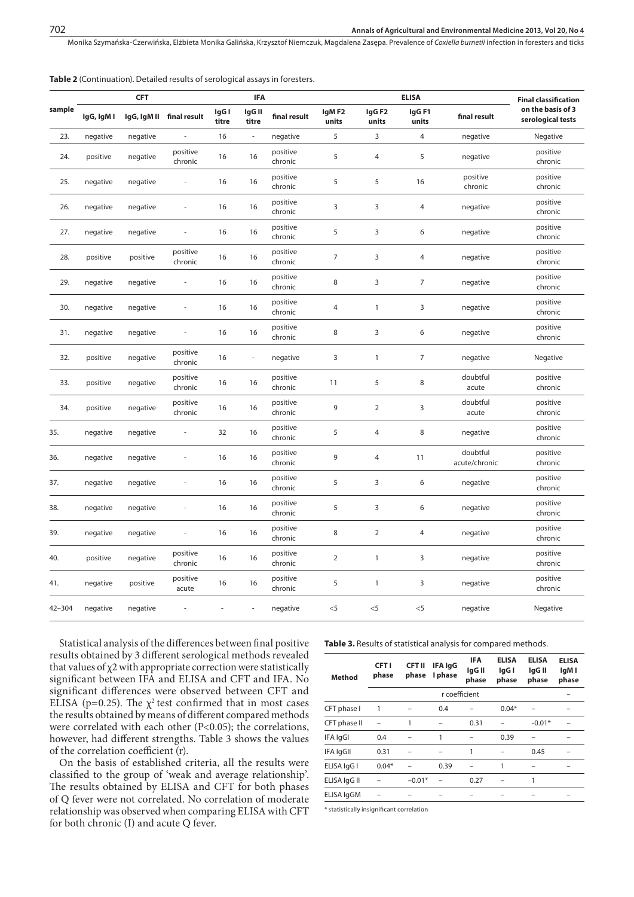Monika Szymańska-Czerwińska, Elżbieta Monika Galińska, Krzysztof Niemczuk, Magdalena Zasępa . Prevalence of *Coxiella burnetii* infection in foresters and ticks

|  |  | <b>Table 2</b> (Continuation). Detailed results of serological assays in foresters. |  |  |  |  |  |
|--|--|-------------------------------------------------------------------------------------|--|--|--|--|--|
|--|--|-------------------------------------------------------------------------------------|--|--|--|--|--|

|            |            |             | <b>IFA</b>               |                | <b>ELISA</b>             |                     |                | <b>Final classification</b> |                |                           |                                        |
|------------|------------|-------------|--------------------------|----------------|--------------------------|---------------------|----------------|-----------------------------|----------------|---------------------------|----------------------------------------|
| sample     | IgG, IgM I | IgG, IgM II | final result             | IgG I<br>titre | IgG II<br>titre          | final result        | IgMF2<br>units | IgG <sub>F2</sub><br>units  | IgGF1<br>units | final result              | on the basis of 3<br>serological tests |
| 23.        | negative   | negative    | $\overline{\phantom{a}}$ | 16             | $\overline{\phantom{a}}$ | negative            | 5              | 3                           | 4              | negative                  | Negative                               |
| 24.        | positive   | negative    | positive<br>chronic      | 16             | 16                       | positive<br>chronic | 5              | $\overline{4}$              | 5              | negative                  | positive<br>chronic                    |
| 25.        | negative   | negative    | ÷,                       | 16             | 16                       | positive<br>chronic | 5              | 5                           | 16             | positive<br>chronic       | positive<br>chronic                    |
| 26.        | negative   | negative    | $\bar{ }$                | 16             | 16                       | positive<br>chronic | 3              | $\overline{3}$              | $\overline{4}$ | negative                  | positive<br>chronic                    |
| 27.        | negative   | negative    | ÷,                       | 16             | 16                       | positive<br>chronic | 5              | 3                           | 6              | negative                  | positive<br>chronic                    |
| 28.        | positive   | positive    | positive<br>chronic      | 16             | 16                       | positive<br>chronic | $\overline{7}$ | $\overline{3}$              | 4              | negative                  | positive<br>chronic                    |
| 29.        | negative   | negative    | ÷,                       | 16             | 16                       | positive<br>chronic | 8              | 3                           | $\overline{7}$ | negative                  | positive<br>chronic                    |
| 30.        | negative   | negative    | ä,                       | 16             | 16                       | positive<br>chronic | $\overline{4}$ | $\mathbf{1}$                | 3              | negative                  | positive<br>chronic                    |
| 31.        | negative   | negative    | ÷,                       | 16             | 16                       | positive<br>chronic | $\,8\,$        | 3                           | 6              | negative                  | positive<br>chronic                    |
| 32.        | positive   | negative    | positive<br>chronic      | 16             | ÷,                       | negative            | 3              | $\mathbf{1}$                | $\overline{7}$ | negative                  | Negative                               |
| 33.        | positive   | negative    | positive<br>chronic      | 16             | 16                       | positive<br>chronic | 11             | 5                           | 8              | doubtful<br>acute         | positive<br>chronic                    |
| 34.        | positive   | negative    | positive<br>chronic      | 16             | 16                       | positive<br>chronic | 9              | $\overline{2}$              | 3              | doubtful<br>acute         | positive<br>chronic                    |
| 35.        | negative   | negative    | ÷,                       | 32             | 16                       | positive<br>chronic | 5              | $\overline{4}$              | 8              | negative                  | positive<br>chronic                    |
| 36.        | negative   | negative    | ä,                       | 16             | 16                       | positive<br>chronic | 9              | $\overline{4}$              | 11             | doubtful<br>acute/chronic | positive<br>chronic                    |
| 37.        | negative   | negative    | $\overline{a}$           | 16             | 16                       | positive<br>chronic | 5              | 3                           | 6              | negative                  | positive<br>chronic                    |
| 38.        | negative   | negative    | ×,                       | 16             | 16                       | positive<br>chronic | 5              | 3                           | 6              | negative                  | positive<br>chronic                    |
| 39.        | negative   | negative    | $\blacksquare$           | 16             | 16                       | positive<br>chronic | 8              | $\mathbf 2$                 | 4              | negative                  | positive<br>chronic                    |
| 40.        | positive   | negative    | positive<br>chronic      | 16             | 16                       | positive<br>chronic | $\sqrt{2}$     | $\mathbf{1}$                | 3              | negative                  | positive<br>chronic                    |
| 41.        | negative   | positive    | positive<br>acute        | 16             | 16                       | positive<br>chronic | 5              | $\mathbf{1}$                | 3              | negative                  | positive<br>chronic                    |
| $42 - 304$ | negative   | negative    |                          |                |                          | negative            | $<$ 5          | $<$ 5                       | $<$ 5          | negative                  | Negative                               |

Statistical analysis of the differences between final positive results obtained by 3 different serological methods revealed that values of χ2 with appropriate correction were statistically significant between IFA and ELISA and CFT and IFA. No significant differences were observed between CFT and ELISA (p=0.25). The  $\chi^2$  test confirmed that in most cases the results obtained by means of different compared methods were correlated with each other (P<0.05); the correlations, however, had different strengths. Table 3 shows the values of the correlation coefficient (r).

On the basis of established criteria, all the results were classified to the group of 'weak and average relationship'. The results obtained by ELISA and CFT for both phases of Q fever were not correlated. No correlation of moderate relationship was observed when comparing ELISA with CFT for both chronic (I) and acute Q fever.

**Table 3.** Results of statistical analysis for compared methods.

| <b>Method</b> | <b>CFT1</b><br>phase | <b>CFT II</b><br>phase | IFA IgG<br>I phase | <b>IFA</b><br>lgG II<br>phase | <b>ELISA</b><br>lgG I<br>phase | <b>ELISA</b><br>lgG II<br>phase | <b>ELISA</b><br>lgM I<br>phase |
|---------------|----------------------|------------------------|--------------------|-------------------------------|--------------------------------|---------------------------------|--------------------------------|
|               |                      |                        | r coefficient      |                               |                                |                                 |                                |
| CFT phase I   |                      |                        | 0.4                |                               | $0.04*$                        |                                 |                                |
| CFT phase II  |                      |                        |                    | 0.31                          |                                | $-0.01*$                        |                                |
| IFA IgGI      | 0.4                  |                        | 1                  |                               | 0.39                           |                                 |                                |
| IFA IgGII     | 0.31                 |                        |                    | 1                             |                                | 0.45                            |                                |
| ELISA IgG I   | $0.04*$              |                        | 0.39               |                               | 1                              |                                 |                                |
| ELISA IqG II  |                      | $-0.01*$               |                    | 0.27                          |                                | 1                               |                                |
| ELISA IgGM    |                      |                        |                    |                               |                                |                                 |                                |
|               |                      |                        |                    |                               |                                |                                 |                                |

\* statistically insignificant correlation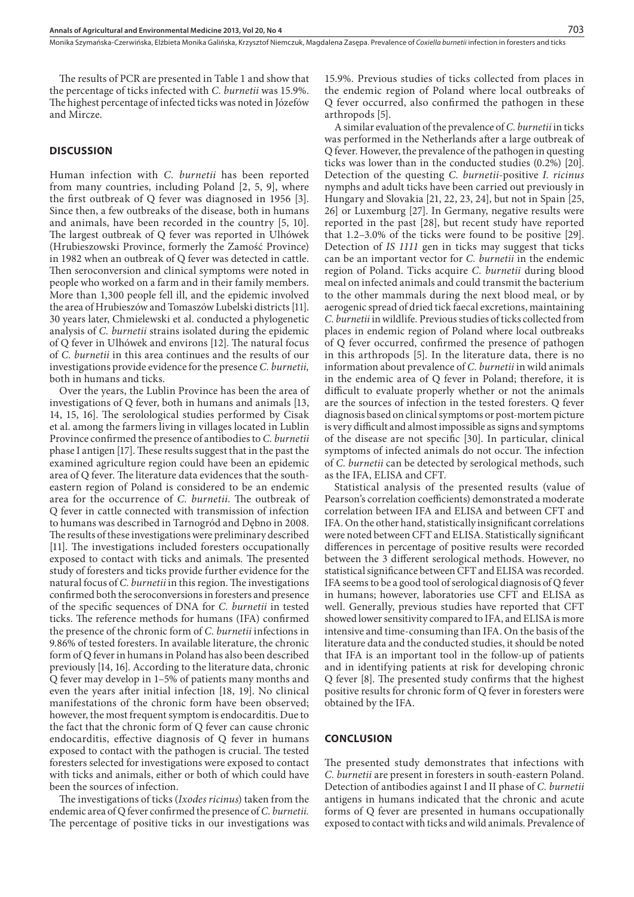The results of PCR are presented in Table 1 and show that the percentage of ticks infected with *C. burnetii* was 15.9%. The highest percentage of infected ticks was noted in Józefów and Mircze.

#### **DISCUSSION**

Human infection with *C. burnetii* has been reported from many countries, including Poland [2, 5, 9], where the first outbreak of Q fever was diagnosed in 1956 [3]. Since then, a few outbreaks of the disease, both in humans and animals, have been recorded in the country [5, 10]. The largest outbreak of Q fever was reported in Ulhówek (Hrubieszowski Province, formerly the Zamość Province) in 1982 when an outbreak of Q fever was detected in cattle. Then seroconversion and clinical symptoms were noted in people who worked on a farm and in their family members. More than 1,300 people fell ill, and the epidemic involved the area of Hrubieszów and Tomaszów Lubelski districts [11]. 30 years later, Chmielewski et al. conducted a phylogenetic analysis of *C. burnetii* strains isolated during the epidemic of Q fever in Ulhówek and environs [12]. The natural focus of *C. burnetii* in this area continues and the results of our investigations provide evidence for the presence *C. burnetii,* both in humans and ticks.

Over the years, the Lublin Province has been the area of investigations of Q fever, both in humans and animals [13, 14, 15, 16]. The serolological studies performed by Cisak et al. among the farmers living in villages located in Lublin Province confirmed the presence of antibodies to *C. burnetii* phase I antigen [17]. These results suggest that in the past the examined agriculture region could have been an epidemic area of Q fever. The literature data evidences that the southeastern region of Poland is considered to be an endemic area for the occurrence of *C. burnetii*. The outbreak of Q fever in cattle connected with transmission of infection to humans was described in Tarnogród and Dębno in 2008. The results of these investigations were preliminary described [11]. The investigations included foresters occupationally exposed to contact with ticks and animals*.* The presented study of foresters and ticks provide further evidence for the natural focus of *C. burnetii* in this region. The investigations confirmed both the seroconversions in foresters and presence of the specific sequences of DNA for *C. burnetii* in tested ticks. The reference methods for humans (IFA) confirmed the presence of the chronic form of *C. burnetii* infections in 9.86% of tested foresters. In available literature, the chronic form of Q fever in humans in Poland has also been described previously [14, 16]. According to the literature data, chronic Q fever may develop in 1–5% of patients many months and even the years after initial infection [18, 19]. No clinical manifestations of the chronic form have been observed; however, the most frequent symptom is endocarditis. Due to the fact that the chronic form of Q fever can cause chronic endocarditis, effective diagnosis of Q fever in humans exposed to contact with the pathogen is crucial. The tested foresters selected for investigations were exposed to contact with ticks and animals, either or both of which could have been the sources of infection.

The investigations of ticks (*Ixodes ricinus*) taken from the endemic area of Q fever confirmed the presence of *C. burnetii.* The percentage of positive ticks in our investigations was

15.9%. Previous studies of ticks collected from places in the endemic region of Poland where local outbreaks of Q fever occurred, also confirmed the pathogen in these arthropods [5].

A similar evaluation of the prevalence of *C. burnetii* in ticks was performed in the Netherlands after a large outbreak of Q fever. However, the prevalence of the pathogen in questing ticks was lower than in the conducted studies (0.2%) [20]. Detection of the questing *C. burnetii*-positive *I. ricinus* nymphs and adult ticks have been carried out previously in Hungary and Slovakia [21, 22, 23, 24], but not in Spain [25, 26] or Luxemburg [27]. In Germany, negative results were reported in the past [28], but recent study have reported that 1.2–3.0% of the ticks were found to be positive [29]. Detection of *IS 1111* gen in ticks may suggest that ticks can be an important vector for *C. burnetii* in the endemic region of Poland. Ticks acquire *C. burnetii* during blood meal on infected animals and could transmit the bacterium to the other mammals during the next blood meal, or by aerogenic spread of dried tick faecal excretions, maintaining *C. burnetii* in wildlife*.* Previous studies of ticks collected from places in endemic region of Poland where local outbreaks of Q fever occurred, confirmed the presence of pathogen in this arthropods [5]. In the literature data, there is no information about prevalence of *C. burnetii* in wild animals in the endemic area of Q fever in Poland; therefore, it is difficult to evaluate properly whether or not the animals are the sources of infection in the tested foresters. Q fever diagnosis based on clinical symptoms or post-mortem picture is very difficult and almost impossible as signs and symptoms of the disease are not specific [30]. In particular, clinical symptoms of infected animals do not occur. The infection of *C. burnetii* can be detected by serological methods, such as the IFA, ELISA and CFT.

Statistical analysis of the presented results (value of Pearson's correlation coefficients) demonstrated a moderate correlation between IFA and ELISA and between CFT and IFA. On the other hand, statistically insignificant correlations were noted between CFT and ELISA. Statistically significant differences in percentage of positive results were recorded between the 3 different serological methods. However, no statistical significance between CFT and ELISA was recorded. IFA seems to be a good tool of serological diagnosis of Q fever in humans; however, laboratories use CFT and ELISA as well. Generally, previous studies have reported that CFT showed lower sensitivity compared to IFA, and ELISA is more intensive and time-consuming than IFA. On the basis of the literature data and the conducted studies, it should be noted that IFA is an important tool in the follow-up of patients and in identifying patients at risk for developing chronic Q fever [8]. The presented study confirms that the highest positive results for chronic form of Q fever in foresters were obtained by the IFA.

#### **CONCLUSION**

The presented study demonstrates that infections with *C. burnetii* are present in foresters in south-eastern Poland. Detection of antibodies against I and II phase of *C. burnetii*  antigens in humans indicated that the chronic and acute forms of Q fever are presented in humans occupationally exposed to contact with ticks and wild animals. Prevalence of